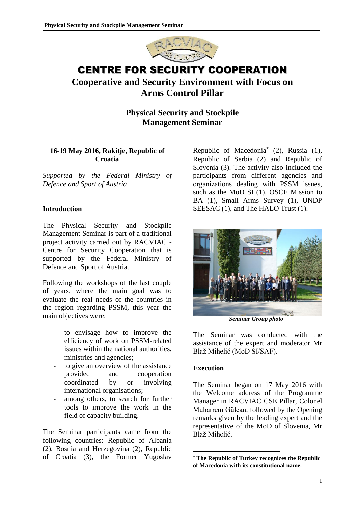

# CENTRE FOR SECURITY COOPERATION

# **Cooperative and Security Environment with Focus on Arms Control Pillar**

**Physical Security and Stockpile Management Seminar**

## **16-19 May 2016, Rakitje, Republic of Croatia**

*Supported by the Federal Ministry of Defence and Sport of Austria*

## **Introduction**

The Physical Security and Stockpile Management Seminar is part of a traditional project activity carried out by RACVIAC - Centre for Security Cooperation that is supported by the Federal Ministry of Defence and Sport of Austria.

Following the workshops of the last couple of years, where the main goal was to evaluate the real needs of the countries in the region regarding PSSM, this year the main objectives were:

- to envisage how to improve the efficiency of work on PSSM-related issues within the national authorities, ministries and agencies;
- to give an overview of the assistance provided and cooperation coordinated by or involving international organisations;
- among others, to search for further tools to improve the work in the field of capacity building.

The Seminar participants came from the following countries: Republic of Albania (2), Bosnia and Herzegovina (2), Republic of Croatia (3), the Former Yugoslav

Republic of Macedonia\* (2), Russia (1), Republic of Serbia (2) and Republic of Slovenia (3). The activity also included the participants from different agencies and organizations dealing with PSSM issues, such as the MoD SI (1), OSCE Mission to BA (1), Small Arms Survey (1), UNDP SEESAC (1), and The HALO Trust (1).



*Seminar Group photo*

The Seminar was conducted with the assistance of the expert and moderator Mr Blaž Mihelić (MoD SI/SAF).

## **Execution**

1

The Seminar began on 17 May 2016 with the Welcome address of the Programme Manager in RACVIAC CSE Pillar, Colonel Muharrem Gülcan, followed by the Opening remarks given by the leading expert and the representative of the MoD of Slovenia, Mr Blaž Mihelić.

<sup>\*</sup> **The Republic of Turkey recognizes the Republic of Macedonia with its constitutional name.**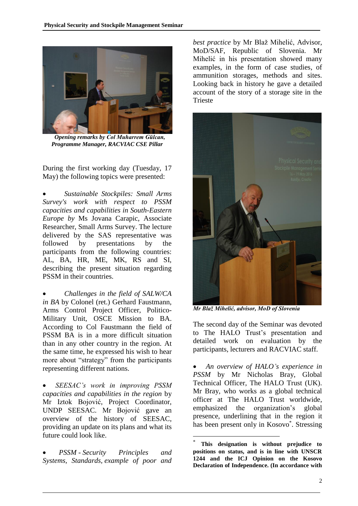

*Opening remarks by Col Muharrem Gülcan, Programme Manager, RACVIAC CSE Pillar*

During the first working day (Tuesday, 17 May) the following topics were presented:

 *Sustainable Stockpiles: Small Arms Survey's work with respect to PSSM capacities and capabilities in South-Eastern Europe by* Ms Jovana Carapic, Associate Researcher, Small Arms Survey. The lecture delivered by the SAS representative was followed by presentations by the participants from the following countries: AL, BA, HR, ME, MK, RS and SI, describing the present situation regarding PSSM in their countries.

 *Challenges in the field of SALW/CA in BA* by Colonel (ret.) Gerhard Faustmann, Arms Control Project Officer, Politico-Military Unit, OSCE Mission to BA. According to Col Faustmann the field of PSSM BA is in a more difficult situation than in any other country in the region. At the same time, he expressed his wish to hear more about "strategy" from the participants representing different nations.

 *SEESAC's work in improving PSSM capacities and capabilities in the region* by Mr Iztok Bojović, Project Coordinator, UNDP SEESAC. Mr Bojović gave an overview of the history of SEESAC, providing an update on its plans and what its future could look like.

 *PSSM - Security Principles and Systems, Standards, example of poor and*  *best practice* by Mr Blaž Mihelić, Advisor, MoD/SAF, Republic of Slovenia. Mr Mihelić in his presentation showed many examples, in the form of case studies, of ammunition storages, methods and sites. Looking back in history he gave a detailed account of the story of a storage site in the Trieste



*Mr Blaž Mihelić, advisor, MoD of Slovenia*

The second day of the Seminar was devoted to The HALO Trust's presentation and detailed work on evaluation by the participants, lecturers and RACVIAC staff.

 *An overview of HALO's experience in PSSM* by Mr Nicholas Bray, Global Technical Officer, The HALO Trust (UK). Mr Bray, who works as a global technical officer at The HALO Trust worldwide, emphasized the organization's global presence, underlining that in the region it has been present only in Kosovo<sup>\*</sup>. Stressing

<u>.</u>

<sup>\*</sup> **This designation is without prejudice to positions on status, and is in line with UNSCR 1244 and the ICJ Opinion on the Kosovo Declaration of Independence. (In accordance with**